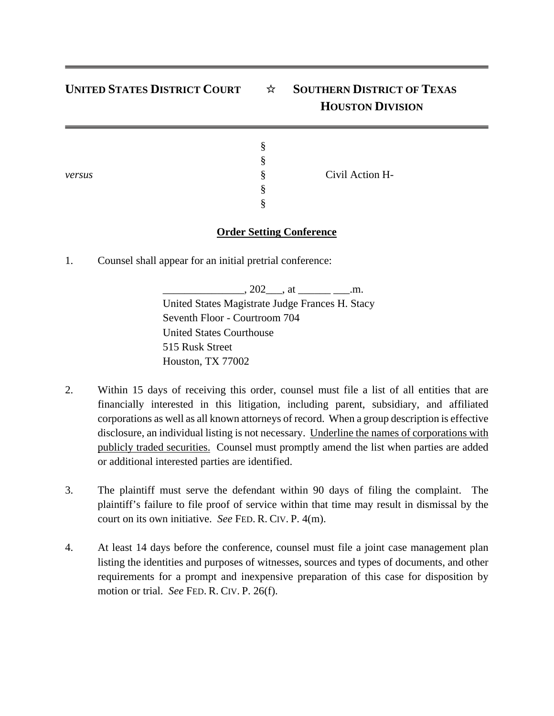## **UNITED STATES DISTRICT COURT** ☆ **SOUTHERN DISTRICT OF TEXAS HOUSTON DIVISION**

| versus | Ð<br>$\epsilon$<br>$\bullet$<br>O<br>♦<br>$\bullet$ | Civil Action H- |  |
|--------|-----------------------------------------------------|-----------------|--|
|--------|-----------------------------------------------------|-----------------|--|

## **Order Setting Conference**

1. Counsel shall appear for an initial pretrial conference:

 $, 202$  , at  $\ldots$  .m. United States Magistrate Judge Frances H. Stacy Seventh Floor - Courtroom 704 United States Courthouse 515 Rusk Street Houston, TX 77002

- 2. Within 15 days of receiving this order, counsel must file a list of all entities that are financially interested in this litigation, including parent, subsidiary, and affiliated corporations as well as all known attorneys of record. When a group description is effective disclosure, an individual listing is not necessary. Underline the names of corporations with publicly traded securities. Counsel must promptly amend the list when parties are added or additional interested parties are identified.
- 3. The plaintiff must serve the defendant within 90 days of filing the complaint. The plaintiff's failure to file proof of service within that time may result in dismissal by the court on its own initiative. *See* FED. R. CIV. P. 4(m).
- 4. At least 14 days before the conference, counsel must file a joint case management plan listing the identities and purposes of witnesses, sources and types of documents, and other requirements for a prompt and inexpensive preparation of this case for disposition by motion or trial. *See* FED. R. CIV. P. 26(f).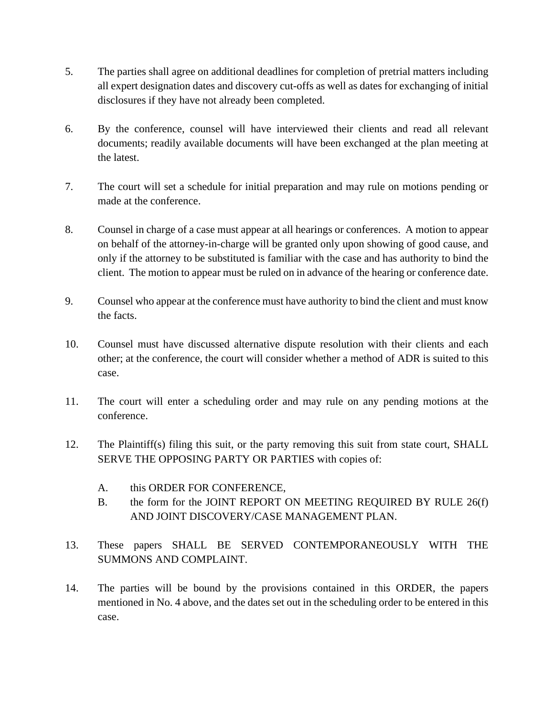- 5. The parties shall agree on additional deadlines for completion of pretrial matters including all expert designation dates and discovery cut-offs as well as dates for exchanging of initial disclosures if they have not already been completed.
- 6. By the conference, counsel will have interviewed their clients and read all relevant documents; readily available documents will have been exchanged at the plan meeting at the latest.
- 7. The court will set a schedule for initial preparation and may rule on motions pending or made at the conference.
- 8. Counsel in charge of a case must appear at all hearings or conferences. A motion to appear on behalf of the attorney-in-charge will be granted only upon showing of good cause, and only if the attorney to be substituted is familiar with the case and has authority to bind the client. The motion to appear must be ruled on in advance of the hearing or conference date.
- 9. Counsel who appear at the conference must have authority to bind the client and must know the facts.
- 10. Counsel must have discussed alternative dispute resolution with their clients and each other; at the conference, the court will consider whether a method of ADR is suited to this case.
- 11. The court will enter a scheduling order and may rule on any pending motions at the conference.
- 12. The Plaintiff(s) filing this suit, or the party removing this suit from state court, SHALL SERVE THE OPPOSING PARTY OR PARTIES with copies of:
	- A. this ORDER FOR CONFERENCE,
	- B. the form for the JOINT REPORT ON MEETING REQUIRED BY RULE 26(f) AND JOINT DISCOVERY/CASE MANAGEMENT PLAN.
- 13. These papers SHALL BE SERVED CONTEMPORANEOUSLY WITH THE SUMMONS AND COMPLAINT.
- 14. The parties will be bound by the provisions contained in this ORDER, the papers mentioned in No. 4 above, and the dates set out in the scheduling order to be entered in this case.